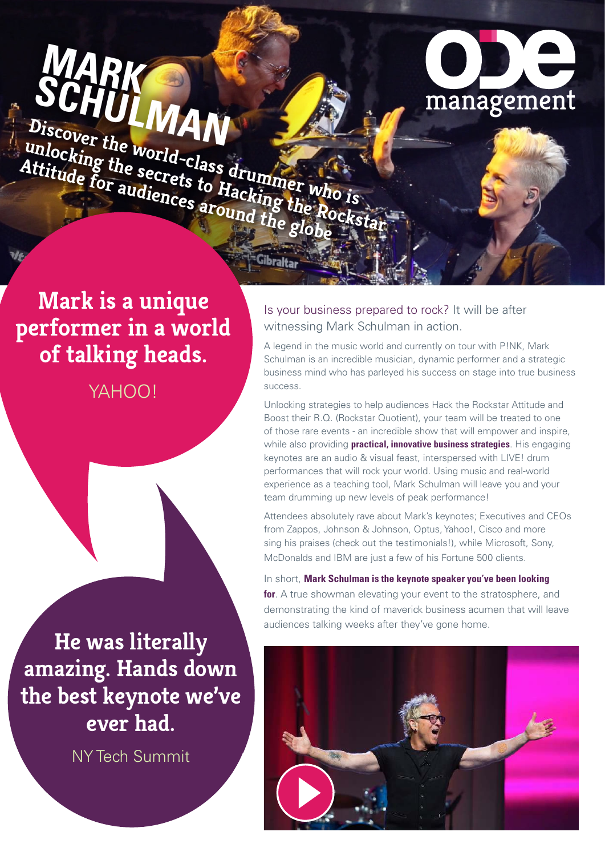# **MARK**  SCHULMAN



Discover the world-class drummer who is<br>
diffulness the secrets to Hacking the secrets of the secrets of the secrets of the secretion of the secret who is<br>
diffulness of the secrets of the secret who is unlocking the secrets to Hacking the Rockstar<br>Attitude for audiences around the Rockstar<br>*Attitude for audiences around the Rockstar* 

ibralta

# **Mark is a unique performer in a world of talking heads.**

YAHOO!

**He was literally amazing. Hands down the best keynote we've ever had.**

NY Tech Summit

Is your business prepared to rock? It will be after witnessing Mark Schulman in action.

A legend in the music world and currently on tour with P!NK, Mark Schulman is an incredible musician, dynamic performer and a strategic business mind who has parleyed his success on stage into true business success.

Unlocking strategies to help audiences Hack the Rockstar Attitude and Boost their R.Q. (Rockstar Quotient), your team will be treated to one of those rare events - an incredible show that will empower and inspire, while also providing **practical, innovative business strategies**. His engaging keynotes are an audio & visual feast, interspersed with LIVE! drum performances that will rock your world. Using music and real-world experience as a teaching tool, Mark Schulman will leave you and your team drumming up new levels of peak performance!

Attendees absolutely rave about Mark's keynotes; Executives and CEOs from Zappos, Johnson & Johnson, Optus, Yahoo!, Cisco and more sing his praises (check out the testimonials!), while Microsoft, Sony, McDonalds and IBM are just a few of his Fortune 500 clients.

In short, **Mark Schulman is the keynote speaker you've been looking for**. A true showman elevating your event to the stratosphere, and demonstrating the kind of maverick business acumen that will leave audiences talking weeks after they've gone home.